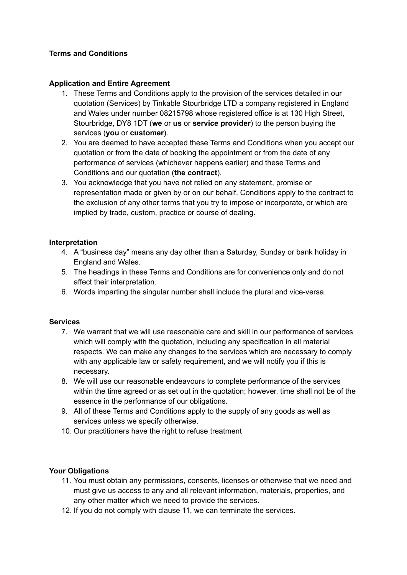# **Terms and Conditions**

# **Application and Entire Agreement**

- 1. These Terms and Conditions apply to the provision of the services detailed in our quotation (Services) by Tinkable Stourbridge LTD a company registered in England and Wales under number 08215798 whose registered office is at 130 High Street, Stourbridge, DY8 1DT (**we** or **us** or **service provider**) to the person buying the services (**you** or **customer**).
- 2. You are deemed to have accepted these Terms and Conditions when you accept our quotation or from the date of booking the appointment or from the date of any performance of services (whichever happens earlier) and these Terms and Conditions and our quotation (**the contract**).
- 3. You acknowledge that you have not relied on any statement, promise or representation made or given by or on our behalf. Conditions apply to the contract to the exclusion of any other terms that you try to impose or incorporate, or which are implied by trade, custom, practice or course of dealing.

# **Interpretation**

- 4. A "business day" means any day other than a Saturday, Sunday or bank holiday in England and Wales.
- 5. The headings in these Terms and Conditions are for convenience only and do not affect their interpretation.
- 6. Words imparting the singular number shall include the plural and vice-versa.

#### **Services**

- 7. We warrant that we will use reasonable care and skill in our performance of services which will comply with the quotation, including any specification in all material respects. We can make any changes to the services which are necessary to comply with any applicable law or safety requirement, and we will notify you if this is necessary.
- 8. We will use our reasonable endeavours to complete performance of the services within the time agreed or as set out in the quotation; however, time shall not be of the essence in the performance of our obligations.
- 9. All of these Terms and Conditions apply to the supply of any goods as well as services unless we specify otherwise.
- 10. Our practitioners have the right to refuse treatment

#### **Your Obligations**

- 11. You must obtain any permissions, consents, licenses or otherwise that we need and must give us access to any and all relevant information, materials, properties, and any other matter which we need to provide the services.
- 12. If you do not comply with clause 11, we can terminate the services.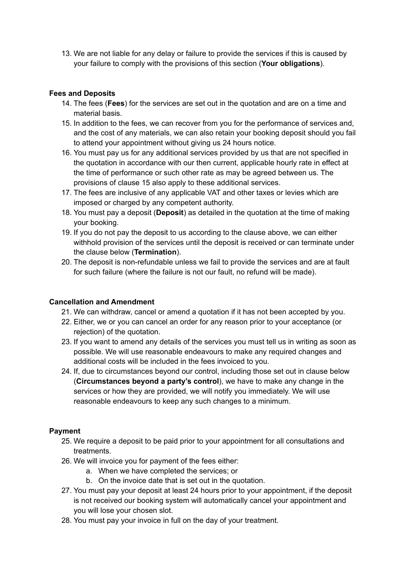13. We are not liable for any delay or failure to provide the services if this is caused by your failure to comply with the provisions of this section (**Your obligations**).

# **Fees and Deposits**

- 14. The fees (**Fees**) for the services are set out in the quotation and are on a time and material basis.
- 15. In addition to the fees, we can recover from you for the performance of services and, and the cost of any materials, we can also retain your booking deposit should you fail to attend your appointment without giving us 24 hours notice.
- 16. You must pay us for any additional services provided by us that are not specified in the quotation in accordance with our then current, applicable hourly rate in effect at the time of performance or such other rate as may be agreed between us. The provisions of clause 15 also apply to these additional services.
- 17. The fees are inclusive of any applicable VAT and other taxes or levies which are imposed or charged by any competent authority.
- 18. You must pay a deposit (**Deposit**) as detailed in the quotation at the time of making your booking.
- 19. If you do not pay the deposit to us according to the clause above, we can either withhold provision of the services until the deposit is received or can terminate under the clause below (**Termination**).
- 20. The deposit is non-refundable unless we fail to provide the services and are at fault for such failure (where the failure is not our fault, no refund will be made).

#### **Cancellation and Amendment**

- 21. We can withdraw, cancel or amend a quotation if it has not been accepted by you.
- 22. Either, we or you can cancel an order for any reason prior to your acceptance (or rejection) of the quotation.
- 23. If you want to amend any details of the services you must tell us in writing as soon as possible. We will use reasonable endeavours to make any required changes and additional costs will be included in the fees invoiced to you.
- 24. If, due to circumstances beyond our control, including those set out in clause below (**Circumstances beyond a party's control**), we have to make any change in the services or how they are provided, we will notify you immediately. We will use reasonable endeavours to keep any such changes to a minimum.

#### **Payment**

- 25. We require a deposit to be paid prior to your appointment for all consultations and treatments.
- 26. We will invoice you for payment of the fees either:
	- a. When we have completed the services; or
	- b. On the invoice date that is set out in the quotation.
- 27. You must pay your deposit at least 24 hours prior to your appointment, if the deposit is not received our booking system will automatically cancel your appointment and you will lose your chosen slot.
- 28. You must pay your invoice in full on the day of your treatment.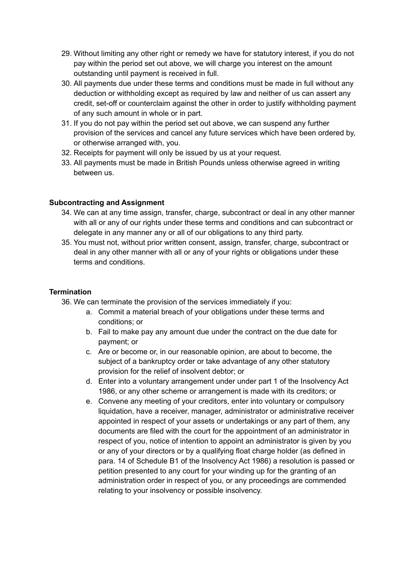- 29. Without limiting any other right or remedy we have for statutory interest, if you do not pay within the period set out above, we will charge you interest on the amount outstanding until payment is received in full.
- 30. All payments due under these terms and conditions must be made in full without any deduction or withholding except as required by law and neither of us can assert any credit, set-off or counterclaim against the other in order to justify withholding payment of any such amount in whole or in part.
- 31. If you do not pay within the period set out above, we can suspend any further provision of the services and cancel any future services which have been ordered by, or otherwise arranged with, you.
- 32. Receipts for payment will only be issued by us at your request.
- 33. All payments must be made in British Pounds unless otherwise agreed in writing between us.

#### **Subcontracting and Assignment**

- 34. We can at any time assign, transfer, charge, subcontract or deal in any other manner with all or any of our rights under these terms and conditions and can subcontract or delegate in any manner any or all of our obligations to any third party.
- 35. You must not, without prior written consent, assign, transfer, charge, subcontract or deal in any other manner with all or any of your rights or obligations under these terms and conditions.

#### **Termination**

- 36. We can terminate the provision of the services immediately if you:
	- a. Commit a material breach of your obligations under these terms and conditions; or
	- b. Fail to make pay any amount due under the contract on the due date for payment; or
	- c. Are or become or, in our reasonable opinion, are about to become, the subject of a bankruptcy order or take advantage of any other statutory provision for the relief of insolvent debtor; or
	- d. Enter into a voluntary arrangement under under part 1 of the Insolvency Act 1986, or any other scheme or arrangement is made with its creditors; or
	- e. Convene any meeting of your creditors, enter into voluntary or compulsory liquidation, have a receiver, manager, administrator or administrative receiver appointed in respect of your assets or undertakings or any part of them, any documents are filed with the court for the appointment of an administrator in respect of you, notice of intention to appoint an administrator is given by you or any of your directors or by a qualifying float charge holder (as defined in para. 14 of Schedule B1 of the Insolvency Act 1986) a resolution is passed or petition presented to any court for your winding up for the granting of an administration order in respect of you, or any proceedings are commended relating to your insolvency or possible insolvency.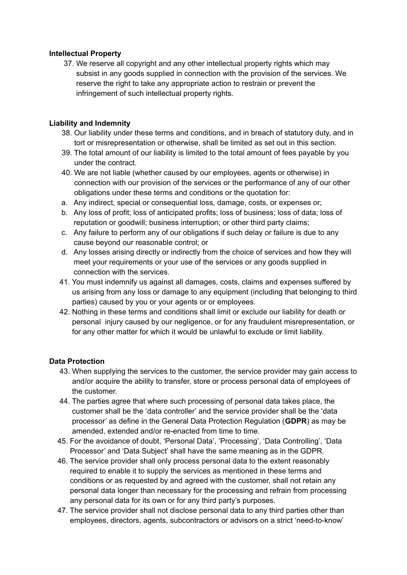# **Intellectual Property**

37. We reserve all copyright and any other intellectual property rights which may subsist in any goods supplied in connection with the provision of the services. We reserve the right to take any appropriate action to restrain or prevent the infringement of such intellectual property rights.

# **Liability and Indemnity**

- 38. Our liability under these terms and conditions, and in breach of statutory duty, and in tort or misrepresentation or otherwise, shall be limited as set out in this section.
- 39. The total amount of our liability is limited to the total amount of fees payable by you under the contract.
- 40. We are not liable (whether caused by our employees, agents or otherwise) in connection with our provision of the services or the performance of any of our other obligations under these terms and conditions or the quotation for:
- a. Any indirect, special or consequential loss, damage, costs, or expenses or;
- b. Any loss of profit; loss of anticipated profits; loss of business; loss of data; loss of reputation or goodwill; business interruption; or other third party claims;
- c. Any failure to perform any of our obligations if such delay or failure is due to any cause beyond our reasonable control; or
- d. Any losses arising directly or indirectly from the choice of services and how they will meet your requirements or your use of the services or any goods supplied in connection with the services.
- 41. You must indemnify us against all damages, costs, claims and expenses suffered by us arising from any loss or damage to any equipment (including that belonging to third parties) caused by you or your agents or or employees.
- 42. Nothing in these terms and conditions shall limit or exclude our liability for death or personal injury caused by our negligence, or for any fraudulent misrepresentation, or for any other matter for which it would be unlawful to exclude or limit liability.

# **Data Protection**

- 43. When supplying the services to the customer, the service provider may gain access to and/or acquire the ability to transfer, store or process personal data of employees of the customer.
- 44. The parties agree that where such processing of personal data takes place, the customer shall be the 'data controller' and the service provider shall be the 'data processor' as define in the General Data Protection Regulation (**GDPR**) as may be amended, extended and/or re-enacted from time to time.
- 45. For the avoidance of doubt, 'Personal Data', 'Processing', 'Data Controlling', 'Data Processor' and 'Data Subject' shall have the same meaning as in the GDPR.
- 46. The service provider shall only process personal data to the extent reasonably required to enable it to supply the services as mentioned in these terms and conditions or as requested by and agreed with the customer, shall not retain any personal data longer than necessary for the processing and refrain from processing any personal data for its own or for any third party's purposes.
- 47. The service provider shall not disclose personal data to any third parties other than employees, directors, agents, subcontractors or advisors on a strict 'need-to-know'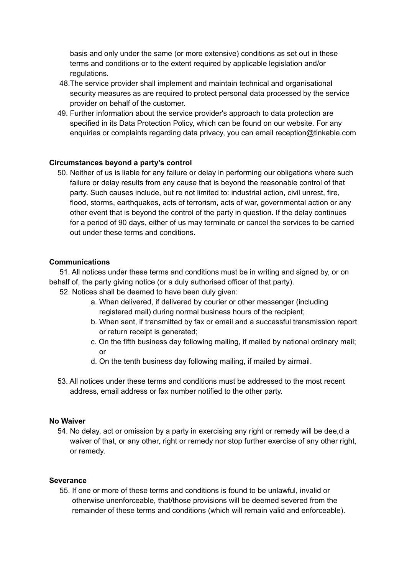basis and only under the same (or more extensive) conditions as set out in these terms and conditions or to the extent required by applicable legislation and/or regulations.

- 48.The service provider shall implement and maintain technical and organisational security measures as are required to protect personal data processed by the service provider on behalf of the customer.
- 49. Further information about the service provider's approach to data protection are specified in its Data Protection Policy, which can be found on our website. For any enquiries or complaints regarding data privacy, you can email [reception@tinkable.com](mailto:reception@tinkable.com)

# **Circumstances beyond a party's control**

50. Neither of us is liable for any failure or delay in performing our obligations where such failure or delay results from any cause that is beyond the reasonable control of that party. Such causes include, but re not limited to: industrial action, civil unrest, fire, flood, storms, earthquakes, acts of terrorism, acts of war, governmental action or any other event that is beyond the control of the party in question. If the delay continues for a period of 90 days, either of us may terminate or cancel the services to be carried out under these terms and conditions.

# **Communications**

51. All notices under these terms and conditions must be in writing and signed by, or on behalf of, the party giving notice (or a duly authorised officer of that party).

52. Notices shall be deemed to have been duly given:

- a. When delivered, if delivered by courier or other messenger (including registered mail) during normal business hours of the recipient;
- b. When sent, if transmitted by fax or email and a successful transmission report or return receipt is generated;
- c. On the fifth business day following mailing, if mailed by national ordinary mail; or
- d. On the tenth business day following mailing, if mailed by airmail.
- 53. All notices under these terms and conditions must be addressed to the most recent address, email address or fax number notified to the other party.

#### **No Waiver**

54. No delay, act or omission by a party in exercising any right or remedy will be dee,d a waiver of that, or any other, right or remedy nor stop further exercise of any other right, or remedy.

#### **Severance**

55. If one or more of these terms and conditions is found to be unlawful, invalid or otherwise unenforceable, that/those provisions will be deemed severed from the remainder of these terms and conditions (which will remain valid and enforceable).